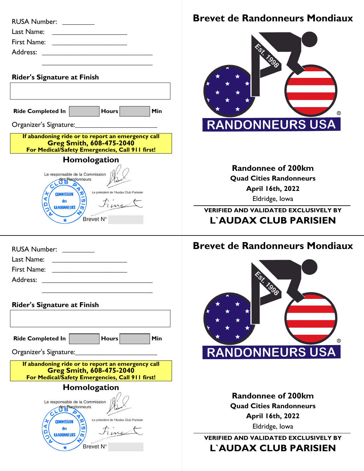| RUSA Number: www.                                                                                                                                                                                                                                   |  |
|-----------------------------------------------------------------------------------------------------------------------------------------------------------------------------------------------------------------------------------------------------|--|
| Last Name:                                                                                                                                                                                                                                          |  |
| <u> 1989 - Andrea Stadt British Stadt British Stadt British Stadt British Stadt British Stadt British Stadt British Stadt British Stadt British Stadt British Stadt British Stadt British Stadt British Stadt British Stadt Brit</u><br>First Name: |  |
| <u> 1989 - Andrea Station, amerikansk politik (</u>                                                                                                                                                                                                 |  |
|                                                                                                                                                                                                                                                     |  |
|                                                                                                                                                                                                                                                     |  |
| <b>Rider's Signature at Finish</b>                                                                                                                                                                                                                  |  |
|                                                                                                                                                                                                                                                     |  |
| Hours<br><b>Ride Completed In</b><br>Min                                                                                                                                                                                                            |  |
| Organizer's Signature:                                                                                                                                                                                                                              |  |
| If abandoning ride or to report an emergency call                                                                                                                                                                                                   |  |
| <b>Greg Smith, 608-475-2040</b><br>For Medical/Safety Emergencies, Call 911 first!                                                                                                                                                                  |  |
|                                                                                                                                                                                                                                                     |  |

| Homologation                                                                                                                                                              |  |  |  |  |
|---------------------------------------------------------------------------------------------------------------------------------------------------------------------------|--|--|--|--|
| Le responsable de la Commission<br>des Randonneurs<br>labut<br>Le président de l'Audax Club Parisien<br><b>COMMISSION</b><br>ūπ<br>des<br><b>RANDONNEURS</b><br>Brevet N° |  |  |  |  |

| RUSA Number: <u>_______</u>                                  |
|--------------------------------------------------------------|
| Last Name:<br><u> 1989 - Jan Samuel Barbara, margaret e</u>  |
| First Name:<br><u> 1980 - Jan Samuel Barbara, margaret e</u> |
| Address: ______                                              |
|                                                              |

| <b>Rider's Signature at Finish</b>                                                                                                      |                                                         |                                       |     |  |
|-----------------------------------------------------------------------------------------------------------------------------------------|---------------------------------------------------------|---------------------------------------|-----|--|
|                                                                                                                                         |                                                         |                                       |     |  |
| <b>Ride Completed In</b>                                                                                                                |                                                         | <b>Hours</b>                          | Min |  |
| Organizer's Signature:                                                                                                                  |                                                         |                                       |     |  |
| If abandoning ride or to report an emergency call<br><b>Greg Smith, 608-475-2040</b><br>For Medical/Safety Emergencies, Call 911 first! |                                                         |                                       |     |  |
| Homologation                                                                                                                            |                                                         |                                       |     |  |
| <b>COMMISSION</b><br>des                                                                                                                | Le responsable de la Commission<br>des Randonneurs<br>ທ | Le président de l'Audax Club Parisien |     |  |
|                                                                                                                                         | <b>Brevet</b>                                           |                                       |     |  |

## **Brevet de Randonneurs Mondiaux**



**Randonnee of 200km Quad Cities Randonneurs April 16th, 2022** Eldridge, Iowa

**VERIFIED AND VALIDATED EXCLUSIVELY BY L`AUDAX CLUB PARISIEN**

## **Brevet de Randonneurs Mondiaux**



**Randonnee of 200km Quad Cities Randonneurs April 16th, 2022** Eldridge, Iowa

**VERIFIED AND VALIDATED EXCLUSIVELY BY L`AUDAX CLUB PARISIEN**